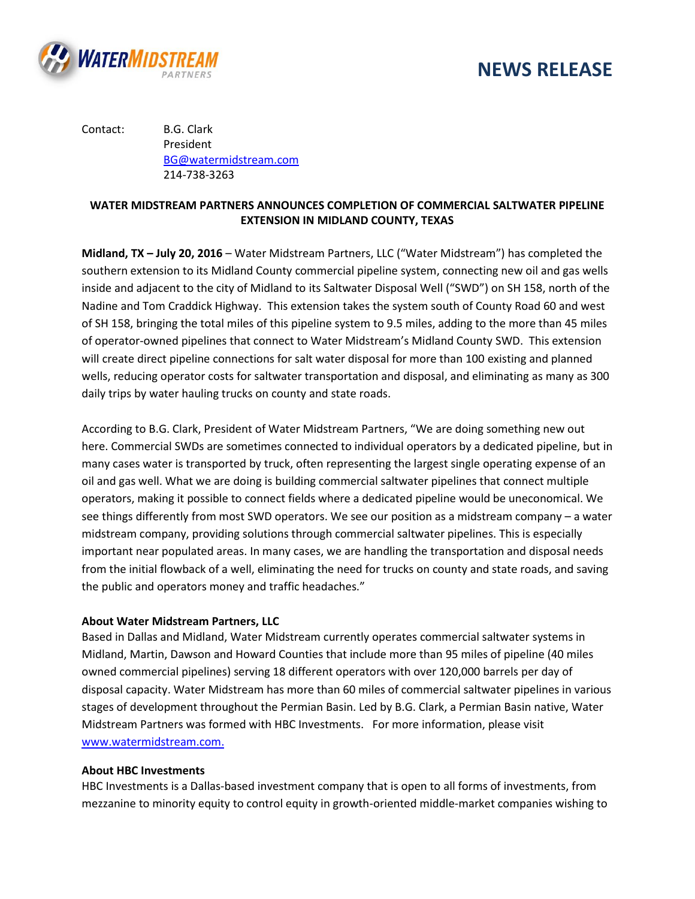



Contact: B.G. Clark President [BG@watermidstream.com](mailto:BG@watermidstream.com) 214-738-3263

## **WATER MIDSTREAM PARTNERS ANNOUNCES COMPLETION OF COMMERCIAL SALTWATER PIPELINE EXTENSION IN MIDLAND COUNTY, TEXAS**

**Midland, TX – July 20, 2016** – Water Midstream Partners, LLC ("Water Midstream") has completed the southern extension to its Midland County commercial pipeline system, connecting new oil and gas wells inside and adjacent to the city of Midland to its Saltwater Disposal Well ("SWD") on SH 158, north of the Nadine and Tom Craddick Highway. This extension takes the system south of County Road 60 and west of SH 158, bringing the total miles of this pipeline system to 9.5 miles, adding to the more than 45 miles of operator-owned pipelines that connect to Water Midstream's Midland County SWD. This extension will create direct pipeline connections for salt water disposal for more than 100 existing and planned wells, reducing operator costs for saltwater transportation and disposal, and eliminating as many as 300 daily trips by water hauling trucks on county and state roads.

According to B.G. Clark, President of Water Midstream Partners, "We are doing something new out here. Commercial SWDs are sometimes connected to individual operators by a dedicated pipeline, but in many cases water is transported by truck, often representing the largest single operating expense of an oil and gas well. What we are doing is building commercial saltwater pipelines that connect multiple operators, making it possible to connect fields where a dedicated pipeline would be uneconomical. We see things differently from most SWD operators. We see our position as a midstream company – a water midstream company, providing solutions through commercial saltwater pipelines. This is especially important near populated areas. In many cases, we are handling the transportation and disposal needs from the initial flowback of a well, eliminating the need for trucks on county and state roads, and saving the public and operators money and traffic headaches."

## **About Water Midstream Partners, LLC**

Based in Dallas and Midland, Water Midstream currently operates commercial saltwater systems in Midland, Martin, Dawson and Howard Counties that include more than 95 miles of pipeline (40 miles owned commercial pipelines) serving 18 different operators with over 120,000 barrels per day of disposal capacity. Water Midstream has more than 60 miles of commercial saltwater pipelines in various stages of development throughout the Permian Basin. Led by B.G. Clark, a Permian Basin native, Water Midstream Partners was formed with HBC Investments. For more information, please visit [www.watermidstream.com.](http://www.watermidstream.com/)

## **About HBC Investments**

HBC Investments is a Dallas-based investment company that is open to all forms of investments, from mezzanine to minority equity to control equity in growth-oriented middle-market companies wishing to